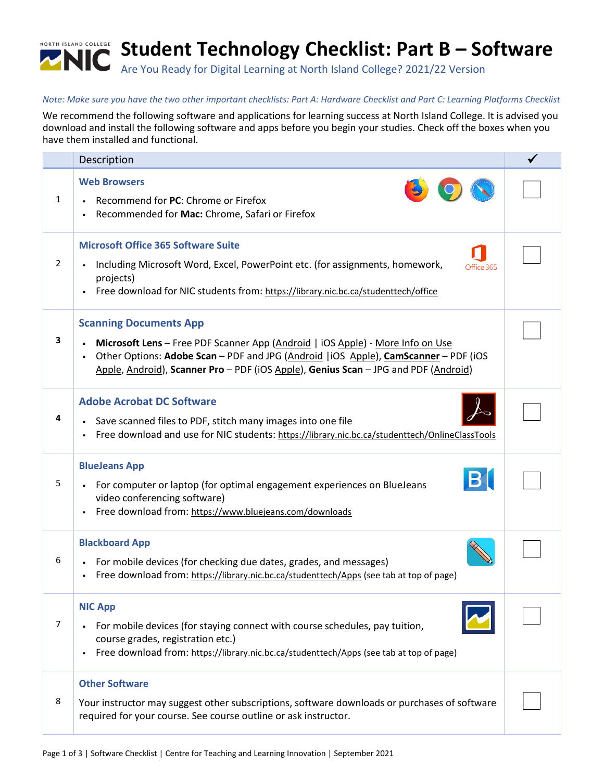

## *Note: Make sure you have the two other important checklists: Part A: Hardware Checklist and Part C: Learning Platforms Checklist*

We recommend the following software and applications for learning success at North Island College. It is advised you download and install the following software and apps before you begin your studies. Check off the boxes when you have them installed and functional.

|                | Description                                                                                                                                                                                                                                                                                                      |  |
|----------------|------------------------------------------------------------------------------------------------------------------------------------------------------------------------------------------------------------------------------------------------------------------------------------------------------------------|--|
| $\mathbf{1}$   | <b>Web Browsers</b><br>Recommend for PC: Chrome or Firefox<br>$\blacksquare$<br>Recommended for Mac: Chrome, Safari or Firefox                                                                                                                                                                                   |  |
| $\overline{2}$ | <b>Microsoft Office 365 Software Suite</b><br>Including Microsoft Word, Excel, PowerPoint etc. (for assignments, homework,<br>Office 365<br>projects)<br>Free download for NIC students from: https://library.nic.bc.ca/studenttech/office                                                                       |  |
| 3              | <b>Scanning Documents App</b><br>Microsoft Lens - Free PDF Scanner App (Android   iOS Apple) - More Info on Use<br>Other Options: Adobe Scan - PDF and JPG (Android   iOS Apple), CamScanner - PDF (iOS<br>$\blacksquare$<br>Apple, Android), Scanner Pro - PDF (iOS Apple), Genius Scan - JPG and PDF (Android) |  |
| 4              | <b>Adobe Acrobat DC Software</b><br>Save scanned files to PDF, stitch many images into one file<br>Free download and use for NIC students: https://library.nic.bc.ca/studenttech/OnlineClassTools<br>٠                                                                                                           |  |
| 5              | <b>BlueJeans App</b><br>For computer or laptop (for optimal engagement experiences on BlueJeans<br>$\blacksquare$<br>video conferencing software)<br>Free download from: https://www.bluejeans.com/downloads                                                                                                     |  |
| 6              | <b>Blackboard App</b><br>For mobile devices (for checking due dates, grades, and messages)<br>$\blacksquare$<br>Free download from: https://library.nic.bc.ca/studenttech/Apps (see tab at top of page)<br>$\blacksquare$                                                                                        |  |
| $\overline{7}$ | <b>NIC App</b><br>For mobile devices (for staying connect with course schedules, pay tuition,<br>$\blacksquare$<br>course grades, registration etc.)<br>Free download from: https://library.nic.bc.ca/studenttech/Apps (see tab at top of page)<br>٠                                                             |  |
| 8              | <b>Other Software</b><br>Your instructor may suggest other subscriptions, software downloads or purchases of software<br>required for your course. See course outline or ask instructor.                                                                                                                         |  |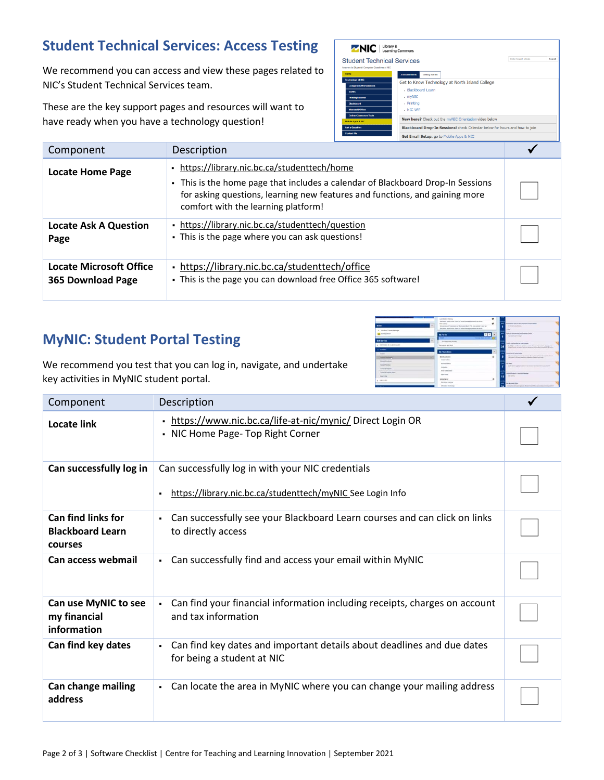## **Student Technical Services: Access Testing**

We recommend you can access and view these pages related to NIC's Student Technical Services team.

These are the key support pages and resources will want to have ready when you have a technology question!



| Component                                    | Description                                                                                                                                                                                                                                           |  |
|----------------------------------------------|-------------------------------------------------------------------------------------------------------------------------------------------------------------------------------------------------------------------------------------------------------|--|
| <b>Locate Home Page</b>                      | • https://library.nic.bc.ca/studenttech/home<br>- This is the home page that includes a calendar of Blackboard Drop-In Sessions<br>for asking questions, learning new features and functions, and gaining more<br>comfort with the learning platform! |  |
| <b>Locate Ask A Question</b><br>Page         | • https://library.nic.bc.ca/studenttech/question<br>. This is the page where you can ask questions!                                                                                                                                                   |  |
| Locate Microsoft Office<br>365 Download Page | - https://library.nic.bc.ca/studenttech/office<br>- This is the page you can download free Office 365 software!                                                                                                                                       |  |

## **MyNIC: Student Portal Testing**

| <b>Email</b><br><b>C. The Real Times Minnesota</b>                                                         | <b>COLLECTION</b> | Later blaket Emmy<br>Seconda Book From Third at annot because within a debut-<br><b>Har Telera</b><br>terrorisal biscopic da Baltanha Barin 19, car actual Library at<br>discussed degra-house from an impairmentation without to the house. | $\mathfrak{a}$<br><br>×<br>$\sim$<br><b>Call</b> | <b>Remodel can be be compatible to the</b><br>Article Hotel Avenue<br>$-$                                                                                                |  |
|------------------------------------------------------------------------------------------------------------|-------------------|----------------------------------------------------------------------------------------------------------------------------------------------------------------------------------------------------------------------------------------------|--------------------------------------------------|--------------------------------------------------------------------------------------------------------------------------------------------------------------------------|--|
| <b>EX Farbene Elvid</b>                                                                                    |                   | <b>EIE</b><br>My To Do                                                                                                                                                                                                                       | w<br>٠                                           | Apply for terminations and for years (includ-<br>International McGrawl                                                                                                   |  |
| <b>Salf-Render</b><br>a constitution and adv all experimentals.                                            |                   | <b>STATE</b><br><b>Second Many Car And I</b><br>The field release for more.<br>There was no date, North                                                                                                                                      | <br><b>TOP</b><br>28                             | Total by boxen as consistent<br>The Universal management of the construction and the product of<br>industry to all through particles and contained and the pro-          |  |
| a station<br><b>There</b><br><b><i><u>Particular Statement of Con-</u></i></b><br>. .<br><b>Investment</b> |                   | <b>Wy Team Siles</b><br><b>WATER AMERICA</b><br><b><i><u>Southe Souther</u></i></b>                                                                                                                                                          | <br><b>HE</b><br>s<br>$\pi$                      | twentier & Countriese<br>Nicolas Fernando para al las forma la provincia de la profesiol<br>There (every 11) of their details are a top provided of internal busy limit. |  |
| <b>Busine Roomed</b><br><b>Samua Report</b>                                                                |                   | <b>Statement Modern</b><br><b>Instruction</b><br>an a su<br><b>FOLD CUSARIES</b>                                                                                                                                                             | <br>                                             | <b>MEAS</b><br>San harm again funnyation machinesiment as follows:                                                                                                       |  |
| <b><i>Insurance Project States</i></b><br><b>Country County</b><br><b>CONTRACT</b>                         |                   | <b>Start Avenue</b><br><b>HERMAN RAY</b>                                                                                                                                                                                                     | w.<br>15<br>٠                                    | <b>Reduct Brookers' Insurance Brooker</b><br><b>Delivery</b>                                                                                                             |  |
|                                                                                                            |                   | <b>Electronic Learning</b><br><b>Information Sections</b>                                                                                                                                                                                    | <br>and .<br>28                                  | <b>The Morrison's Office</b><br>Automobile the countries are the rest countries in the first party in countries of                                                       |  |

We recommend you test that you can log in, navigate, and undertake key activities in MyNIC student portal.

| Component                                                       | Description                                                                                                            |  |
|-----------------------------------------------------------------|------------------------------------------------------------------------------------------------------------------------|--|
| <b>Locate link</b>                                              | - https://www.nic.bc.ca/life-at-nic/mynic/ Direct Login OR<br>• NIC Home Page- Top Right Corner                        |  |
| Can successfully log in                                         | Can successfully log in with your NIC credentials<br>https://library.nic.bc.ca/studenttech/myNIC See Login Info        |  |
| <b>Can find links for</b><br><b>Blackboard Learn</b><br>courses | Can successfully see your Blackboard Learn courses and can click on links<br>٠.<br>to directly access                  |  |
| Can access webmail                                              | Can successfully find and access your email within MyNIC<br>$\blacksquare$                                             |  |
| Can use MyNIC to see<br>my financial<br>information             | Can find your financial information including receipts, charges on account<br>$\blacksquare$<br>and tax information    |  |
| Can find key dates                                              | Can find key dates and important details about deadlines and due dates<br>$\blacksquare$<br>for being a student at NIC |  |
| Can change mailing<br>address                                   | Can locate the area in MyNIC where you can change your mailing address<br>$\blacksquare$                               |  |